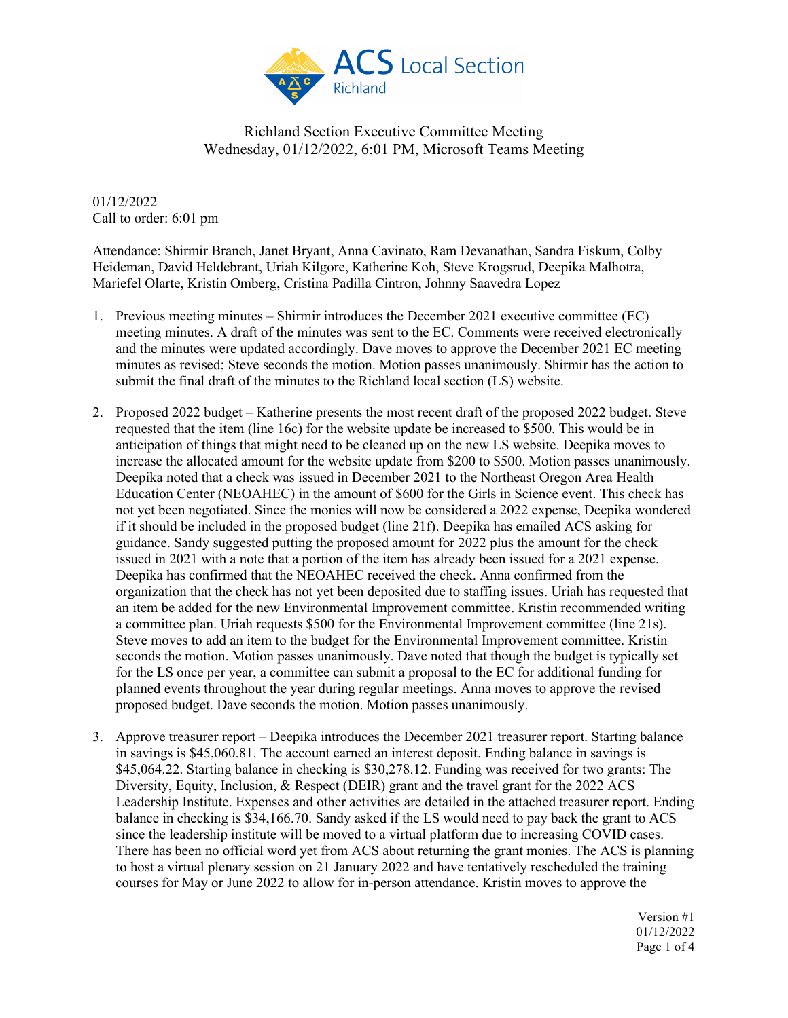

01/12/2022 Call to order: 6:01 pm

Attendance: Shirmir Branch, Janet Bryant, Anna Cavinato, Ram Devanathan, Sandra Fiskum, Colby Heideman, David Heldebrant, Uriah Kilgore, Katherine Koh, Steve Krogsrud, Deepika Malhotra, Mariefel Olarte, Kristin Omberg, Cristina Padilla Cintron, Johnny Saavedra Lopez

- 1. Previous meeting minutes Shirmir introduces the December 2021 executive committee (EC) meeting minutes. A draft of the minutes was sent to the EC. Comments were received electronically and the minutes were updated accordingly. Dave moves to approve the December 2021 EC meeting minutes as revised; Steve seconds the motion. Motion passes unanimously. Shirmir has the action to submit the final draft of the minutes to the Richland local section (LS) website.
- 2. Proposed 2022 budget Katherine presents the most recent draft of the proposed 2022 budget. Steve requested that the item (line 16c) for the website update be increased to \$500. This would be in anticipation of things that might need to be cleaned up on the new LS website. Deepika moves to increase the allocated amount for the website update from \$200 to \$500. Motion passes unanimously. Deepika noted that a check was issued in December 2021 to the Northeast Oregon Area Health Education Center (NEOAHEC) in the amount of \$600 for the Girls in Science event. This check has not yet been negotiated. Since the monies will now be considered a 2022 expense, Deepika wondered if it should be included in the proposed budget (line 21f). Deepika has emailed ACS asking for guidance. Sandy suggested putting the proposed amount for 2022 plus the amount for the check issued in 2021 with a note that a portion of the item has already been issued for a 2021 expense. Deepika has confirmed that the NEOAHEC received the check. Anna confirmed from the organization that the check has not yet been deposited due to staffing issues. Uriah has requested that an item be added for the new Environmental Improvement committee. Kristin recommended writing a committee plan. Uriah requests \$500 for the Environmental Improvement committee (line 21s). Steve moves to add an item to the budget for the Environmental Improvement committee. Kristin seconds the motion. Motion passes unanimously. Dave noted that though the budget is typically set for the LS once per year, a committee can submit a proposal to the EC for additional funding for planned events throughout the year during regular meetings. Anna moves to approve the revised proposed budget. Dave seconds the motion. Motion passes unanimously.
- 3. Approve treasurer report Deepika introduces the December 2021 treasurer report. Starting balance in savings is \$45,060.81. The account earned an interest deposit. Ending balance in savings is \$45,064.22. Starting balance in checking is \$30,278.12. Funding was received for two grants: The Diversity, Equity, Inclusion, & Respect (DEIR) grant and the travel grant for the 2022 ACS Leadership Institute. Expenses and other activities are detailed in the attached treasurer report. Ending balance in checking is \$34,166.70. Sandy asked if the LS would need to pay back the grant to ACS since the leadership institute will be moved to a virtual platform due to increasing COVID cases. There has been no official word yet from ACS about returning the grant monies. The ACS is planning to host a virtual plenary session on 21 January 2022 and have tentatively rescheduled the training courses for May or June 2022 to allow for in-person attendance. Kristin moves to approve the

Version #1 01/12/2022 Page 1 of 4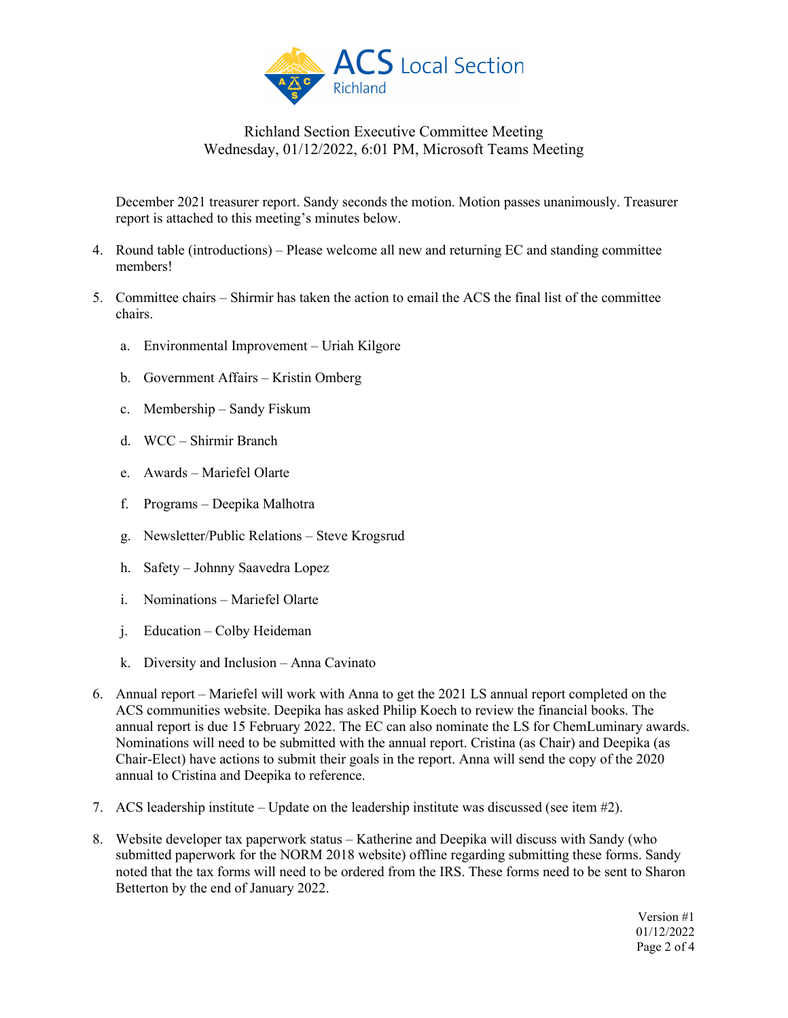

December 2021 treasurer report. Sandy seconds the motion. Motion passes unanimously. Treasurer report is attached to this meeting's minutes below.

- 4. Round table (introductions) Please welcome all new and returning EC and standing committee members!
- 5. Committee chairs Shirmir has taken the action to email the ACS the final list of the committee chairs.
	- a. Environmental Improvement Uriah Kilgore
	- b. Government Affairs Kristin Omberg
	- c. Membership Sandy Fiskum
	- d. WCC Shirmir Branch
	- e. Awards Mariefel Olarte
	- f. Programs Deepika Malhotra
	- g. Newsletter/Public Relations Steve Krogsrud
	- h. Safety Johnny Saavedra Lopez
	- i. Nominations Mariefel Olarte
	- j. Education Colby Heideman
	- k. Diversity and Inclusion Anna Cavinato
- 6. Annual report Mariefel will work with Anna to get the 2021 LS annual report completed on the ACS communities website. Deepika has asked Philip Koech to review the financial books. The annual report is due 15 February 2022. The EC can also nominate the LS for ChemLuminary awards. Nominations will need to be submitted with the annual report. Cristina (as Chair) and Deepika (as Chair-Elect) have actions to submit their goals in the report. Anna will send the copy of the 2020 annual to Cristina and Deepika to reference.
- 7. ACS leadership institute Update on the leadership institute was discussed (see item #2).
- 8. Website developer tax paperwork status Katherine and Deepika will discuss with Sandy (who submitted paperwork for the NORM 2018 website) offline regarding submitting these forms. Sandy noted that the tax forms will need to be ordered from the IRS. These forms need to be sent to Sharon Betterton by the end of January 2022.

Version #1 01/12/2022 Page 2 of 4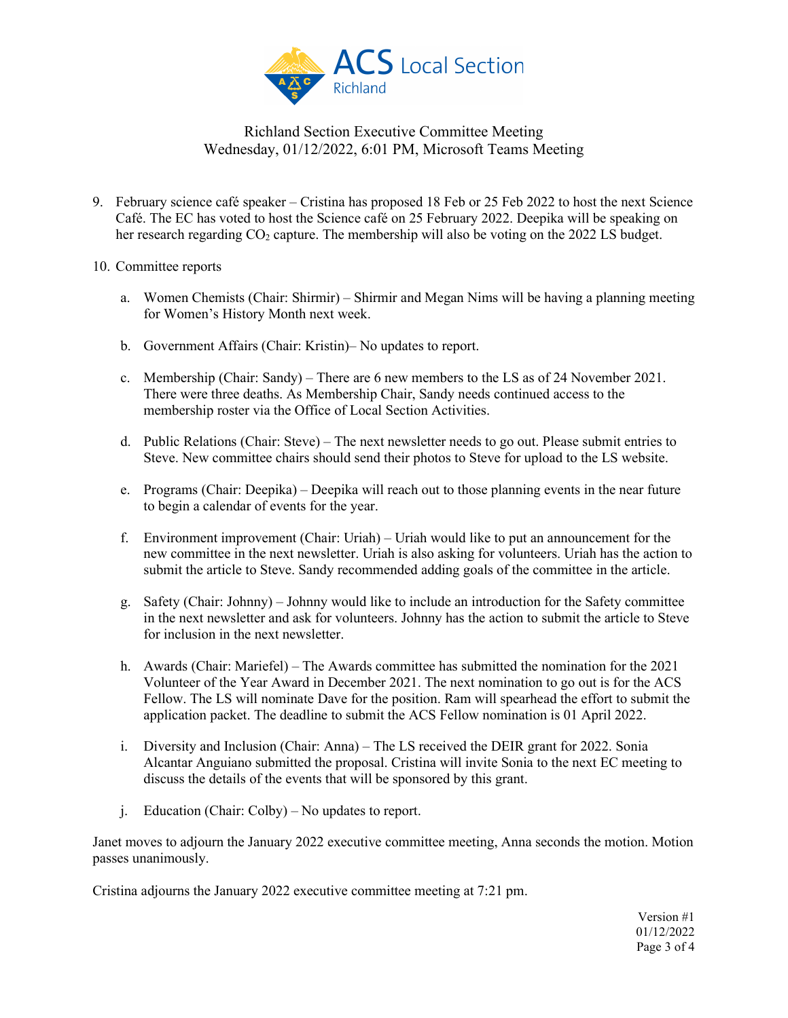

- 9. February science café speaker Cristina has proposed 18 Feb or 25 Feb 2022 to host the next Science Café. The EC has voted to host the Science café on 25 February 2022. Deepika will be speaking on her research regarding  $CO<sub>2</sub>$  capture. The membership will also be voting on the 2022 LS budget.
- 10. Committee reports
	- a. Women Chemists (Chair: Shirmir) Shirmir and Megan Nims will be having a planning meeting for Women's History Month next week.
	- b. Government Affairs (Chair: Kristin)– No updates to report.
	- c. Membership (Chair: Sandy) There are 6 new members to the LS as of 24 November 2021. There were three deaths. As Membership Chair, Sandy needs continued access to the membership roster via the Office of Local Section Activities.
	- d. Public Relations (Chair: Steve) The next newsletter needs to go out. Please submit entries to Steve. New committee chairs should send their photos to Steve for upload to the LS website.
	- e. Programs (Chair: Deepika) Deepika will reach out to those planning events in the near future to begin a calendar of events for the year.
	- f. Environment improvement (Chair: Uriah) Uriah would like to put an announcement for the new committee in the next newsletter. Uriah is also asking for volunteers. Uriah has the action to submit the article to Steve. Sandy recommended adding goals of the committee in the article.
	- g. Safety (Chair: Johnny) Johnny would like to include an introduction for the Safety committee in the next newsletter and ask for volunteers. Johnny has the action to submit the article to Steve for inclusion in the next newsletter.
	- h. Awards (Chair: Mariefel) The Awards committee has submitted the nomination for the 2021 Volunteer of the Year Award in December 2021. The next nomination to go out is for the ACS Fellow. The LS will nominate Dave for the position. Ram will spearhead the effort to submit the application packet. The deadline to submit the ACS Fellow nomination is 01 April 2022.
	- i. Diversity and Inclusion (Chair: Anna) The LS received the DEIR grant for 2022. Sonia Alcantar Anguiano submitted the proposal. Cristina will invite Sonia to the next EC meeting to discuss the details of the events that will be sponsored by this grant.
	- j. Education (Chair: Colby) No updates to report.

Janet moves to adjourn the January 2022 executive committee meeting, Anna seconds the motion. Motion passes unanimously.

Cristina adjourns the January 2022 executive committee meeting at 7:21 pm.